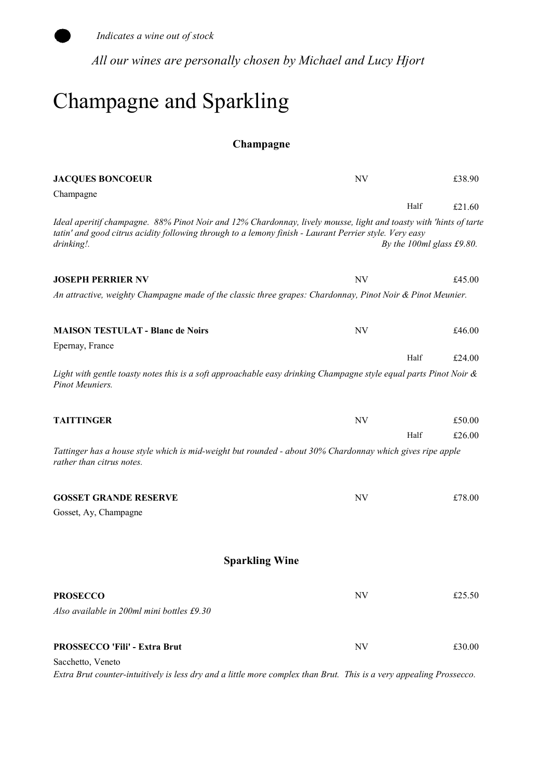

All our wines are personally chosen by Michael and Lucy Hjort

### Champagne and Sparkling

#### Champagne

| <b>JACQUES BONCOEUR</b>                                                                                                                                                                                                                   | NV                       | £38.90                       |
|-------------------------------------------------------------------------------------------------------------------------------------------------------------------------------------------------------------------------------------------|--------------------------|------------------------------|
| Champagne                                                                                                                                                                                                                                 |                          |                              |
|                                                                                                                                                                                                                                           |                          | Half<br>£21.60               |
| Ideal aperitif champagne. 88% Pinot Noir and 12% Chardonnay, lively mousse, light and toasty with 'hints of tarte<br>tatin' and good citrus acidity following through to a lemony finish - Laurant Perrier style. Very easy<br>drinking!. |                          | By the 100 $ml$ glass £9.80. |
| <b>JOSEPH PERRIER NV</b>                                                                                                                                                                                                                  | NV                       | £45.00                       |
| An attractive, weighty Champagne made of the classic three grapes: Chardonnay, Pinot Noir & Pinot Meunier.                                                                                                                                |                          |                              |
| <b>MAISON TESTULAT - Blanc de Noirs</b>                                                                                                                                                                                                   | $\ensuremath{\text{NV}}$ | £46.00                       |
| Epernay, France                                                                                                                                                                                                                           |                          |                              |
| Light with gentle toasty notes this is a soft approachable easy drinking Champagne style equal parts Pinot Noir &<br>Pinot Meuniers.                                                                                                      |                          | Half<br>£24.00               |
| <b>TAITTINGER</b>                                                                                                                                                                                                                         | $\ensuremath{\text{NV}}$ | £50.00                       |
|                                                                                                                                                                                                                                           |                          | £26.00<br>Half               |
| Tattinger has a house style which is mid-weight but rounded - about 30% Chardonnay which gives ripe apple<br>rather than citrus notes.                                                                                                    |                          |                              |
| <b>GOSSET GRANDE RESERVE</b>                                                                                                                                                                                                              | <b>NV</b>                | £78.00                       |
| Gosset, Ay, Champagne                                                                                                                                                                                                                     |                          |                              |
| <b>Sparkling Wine</b>                                                                                                                                                                                                                     |                          |                              |
| <b>PROSECCO</b>                                                                                                                                                                                                                           | <b>NV</b>                | £25.50                       |
| Also available in 200ml mini bottles £9.30                                                                                                                                                                                                |                          |                              |
| <b>PROSSECCO 'Fili' - Extra Brut</b>                                                                                                                                                                                                      | NV                       | £30.00                       |
| Sacchetto, Veneto                                                                                                                                                                                                                         |                          |                              |

Extra Brut counter-intuitively is less dry and a little more complex than Brut. This is a very appealing Prossecco.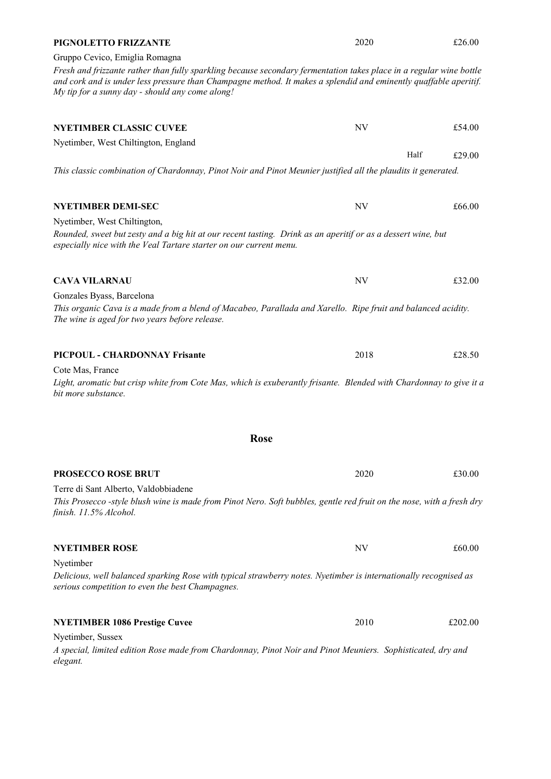| Gruppo Cevico, Emiglia Romagna<br>Fresh and frizzante rather than fully sparkling because secondary fermentation takes place in a regular wine bottle<br>and cork and is under less pressure than Champagne method. It makes a splendid and eminently quaffable aperitif.<br>My tip for a sunny day - should any come along! |           |         |
|------------------------------------------------------------------------------------------------------------------------------------------------------------------------------------------------------------------------------------------------------------------------------------------------------------------------------|-----------|---------|
| <b>NYETIMBER CLASSIC CUVEE</b>                                                                                                                                                                                                                                                                                               | NV        | £54.00  |
| Nyetimber, West Chiltington, England                                                                                                                                                                                                                                                                                         |           |         |
| This classic combination of Chardonnay, Pinot Noir and Pinot Meunier justified all the plaudits it generated.                                                                                                                                                                                                                | Half      | £29.00  |
| <b>NYETIMBER DEMI-SEC</b>                                                                                                                                                                                                                                                                                                    | NV        | £66.00  |
| Nyetimber, West Chiltington,<br>Rounded, sweet but zesty and a big hit at our recent tasting. Drink as an aperitif or as a dessert wine, but<br>especially nice with the Veal Tartare starter on our current menu.                                                                                                           |           |         |
| <b>CAVA VILARNAU</b>                                                                                                                                                                                                                                                                                                         | <b>NV</b> | £32.00  |
| Gonzales Byass, Barcelona<br>This organic Cava is a made from a blend of Macabeo, Parallada and Xarello. Ripe fruit and balanced acidity.<br>The wine is aged for two years before release.                                                                                                                                  |           |         |
| PICPOUL - CHARDONNAY Frisante                                                                                                                                                                                                                                                                                                | 2018      | £28.50  |
| Cote Mas, France<br>Light, aromatic but crisp white from Cote Mas, which is exuberantly frisante. Blended with Chardonnay to give it a<br>bit more substance.                                                                                                                                                                |           |         |
| Rose                                                                                                                                                                                                                                                                                                                         |           |         |
| <b>PROSECCO ROSE BRUT</b>                                                                                                                                                                                                                                                                                                    | 2020      | £30.00  |
| Terre di Sant Alberto, Valdobbiadene                                                                                                                                                                                                                                                                                         |           |         |
| This Prosecco -style blush wine is made from Pinot Nero. Soft bubbles, gentle red fruit on the nose, with a fresh dry<br>finish. 11.5% Alcohol.                                                                                                                                                                              |           |         |
| <b>NYETIMBER ROSE</b>                                                                                                                                                                                                                                                                                                        | NV        | £60.00  |
| Nyetimber                                                                                                                                                                                                                                                                                                                    |           |         |
| Delicious, well balanced sparking Rose with typical strawberry notes. Nyetimber is internationally recognised as<br>serious competition to even the best Champagnes.                                                                                                                                                         |           |         |
| <b>NYETIMBER 1086 Prestige Cuvee</b>                                                                                                                                                                                                                                                                                         | 2010      | £202.00 |
| Nyetimber, Sussex<br>A special, limited edition Rose made from Chardonnay, Pinot Noir and Pinot Meuniers. Sophisticated, dry and<br>elegant.                                                                                                                                                                                 |           |         |

PIGNOLETTO FRIZZANTE

2020 £26.00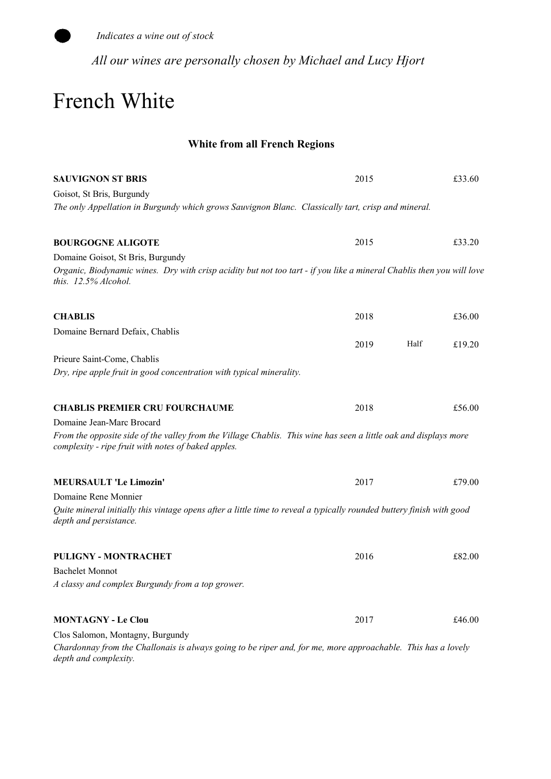

All our wines are personally chosen by Michael and Lucy Hjort

### French White

### White from all French Regions

| <b>SAUVIGNON ST BRIS</b>                                                                                                                                                | 2015         | £33.60 |
|-------------------------------------------------------------------------------------------------------------------------------------------------------------------------|--------------|--------|
| Goisot, St Bris, Burgundy                                                                                                                                               |              |        |
| The only Appellation in Burgundy which grows Sauvignon Blanc. Classically tart, crisp and mineral.                                                                      |              |        |
| <b>BOURGOGNE ALIGOTE</b>                                                                                                                                                | 2015         | £33.20 |
| Domaine Goisot, St Bris, Burgundy                                                                                                                                       |              |        |
| Organic, Biodynamic wines. Dry with crisp acidity but not too tart - if you like a mineral Chablis then you will love<br>this. 12.5% Alcohol.                           |              |        |
| <b>CHABLIS</b>                                                                                                                                                          | 2018         | £36.00 |
| Domaine Bernard Defaix, Chablis                                                                                                                                         |              |        |
|                                                                                                                                                                         | Half<br>2019 | £19.20 |
| Prieure Saint-Come, Chablis                                                                                                                                             |              |        |
| Dry, ripe apple fruit in good concentration with typical minerality.                                                                                                    |              |        |
| <b>CHABLIS PREMIER CRU FOURCHAUME</b>                                                                                                                                   | 2018         | £56.00 |
| Domaine Jean-Marc Brocard                                                                                                                                               |              |        |
| From the opposite side of the valley from the Village Chablis. This wine has seen a little oak and displays more<br>complexity - ripe fruit with notes of baked apples. |              |        |
| <b>MEURSAULT 'Le Limozin'</b>                                                                                                                                           | 2017         | £79.00 |
| Domaine Rene Monnier                                                                                                                                                    |              |        |
| Quite mineral initially this vintage opens after a little time to reveal a typically rounded buttery finish with good<br>depth and persistance.                         |              |        |
| <b>PULIGNY - MONTRACHET</b>                                                                                                                                             | 2016         | £82.00 |
| <b>Bachelet Monnot</b>                                                                                                                                                  |              |        |
| A classy and complex Burgundy from a top grower.                                                                                                                        |              |        |
| <b>MONTAGNY - Le Clou</b>                                                                                                                                               | 2017         | £46.00 |
| Clos Salomon, Montagny, Burgundy                                                                                                                                        |              |        |
| Chardonnay from the Challonais is always going to be riper and, for me, more approachable. This has a lovely<br>depth and complexity.                                   |              |        |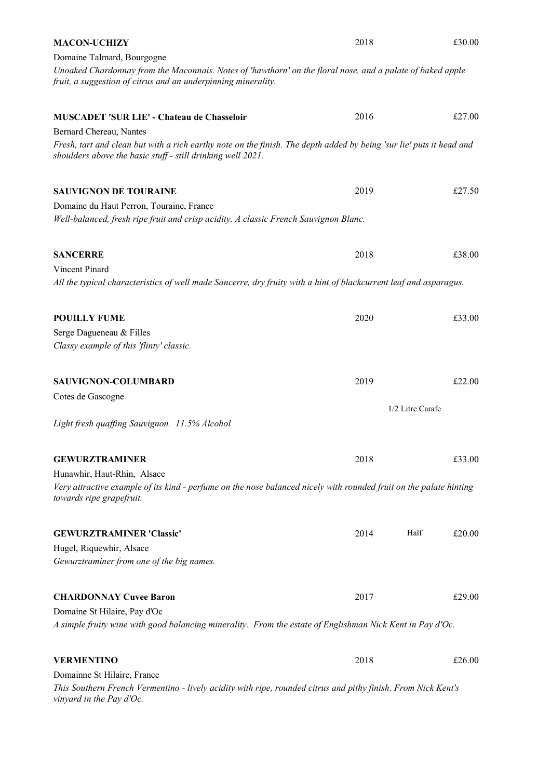| <b>MACON-UCHIZY</b>                                                                                                                                                                                       | 2018 |                  | £30.00 |
|-----------------------------------------------------------------------------------------------------------------------------------------------------------------------------------------------------------|------|------------------|--------|
| Domaine Talmard, Bourgogne<br>Unoaked Chardonnay from the Maconnais. Notes of 'hawthorn' on the floral nose, and a palate of baked apple<br>fruit, a suggestion of citrus and an underpinning minerality. |      |                  |        |
| <b>MUSCADET 'SUR LIE' - Chateau de Chasseloir</b>                                                                                                                                                         | 2016 |                  | £27.00 |
| Bernard Chereau, Nantes                                                                                                                                                                                   |      |                  |        |
| Fresh, tart and clean but with a rich earthy note on the finish. The depth added by being 'sur lie' puts it head and<br>shoulders above the basic stuff - still drinking well 2021.                       |      |                  |        |
| <b>SAUVIGNON DE TOURAINE</b>                                                                                                                                                                              | 2019 |                  | £27.50 |
| Domaine du Haut Perron, Touraine, France<br>Well-balanced, fresh ripe fruit and crisp acidity. A classic French Sauvignon Blanc.                                                                          |      |                  |        |
| <b>SANCERRE</b>                                                                                                                                                                                           | 2018 |                  | £38.00 |
| Vincent Pinard<br>All the typical characteristics of well made Sancerre, dry fruity with a hint of blackcurrent leaf and asparagus.                                                                       |      |                  |        |
| <b>POUILLY FUME</b>                                                                                                                                                                                       | 2020 |                  | £33.00 |
| Serge Dagueneau & Filles<br>Classy example of this 'flinty' classic.                                                                                                                                      |      |                  |        |
| SAUVIGNON-COLUMBARD                                                                                                                                                                                       | 2019 |                  | £22.00 |
| Cotes de Gascogne                                                                                                                                                                                         |      |                  |        |
| Light fresh quaffing Sauvignon. 11.5% Alcohol                                                                                                                                                             |      | 1/2 Litre Carafe |        |
| <b>GEWURZTRAMINER</b>                                                                                                                                                                                     | 2018 |                  | £33.00 |
| Hunawhir, Haut-Rhin, Alsace<br>Very attractive example of its kind - perfume on the nose balanced nicely with rounded fruit on the palate hinting<br>towards ripe grapefruit.                             |      |                  |        |
| <b>GEWURZTRAMINER 'Classic'</b>                                                                                                                                                                           | 2014 | Half             | £20.00 |
| Hugel, Riquewhir, Alsace<br>Gewurztraminer from one of the big names.                                                                                                                                     |      |                  |        |
| <b>CHARDONNAY Cuvee Baron</b>                                                                                                                                                                             | 2017 |                  | £29.00 |
| Domaine St Hilaire, Pay d'Oc<br>A simple fruity wine with good balancing minerality. From the estate of Englishman Nick Kent in Pay d'Oc.                                                                 |      |                  |        |
| <b>VERMENTINO</b>                                                                                                                                                                                         | 2018 |                  | £26.00 |
| Domainne St Hilaire, France<br>This Southern French Vermentino - lively acidity with ripe, rounded citrus and pithy finish. From Nick Kent's<br>vinyard in the Pay d'Oc.                                  |      |                  |        |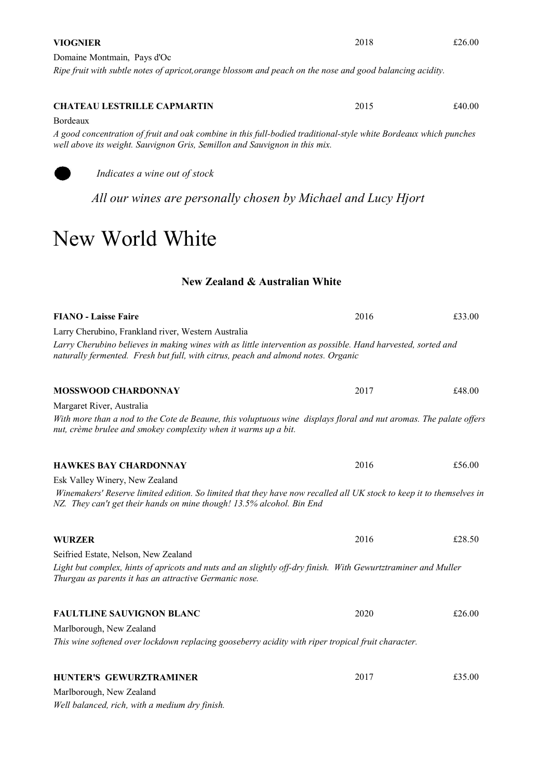# Bordeaux CHATEAU LESTRILLE CAPMARTIN

A good concentration of fruit and oak combine in this full-bodied traditional-style white Bordeaux which punches well above its weight. Sauvignon Gris, Semillon and Sauvignon in this mix.

Indicates a wine out of stock

All our wines are personally chosen by Michael and Lucy Hjort

### New World White

#### New Zealand & Australian White

| <b>FIANO - Laisse Faire</b>                                                                                                                                                                       | 2016 | £33.00 |
|---------------------------------------------------------------------------------------------------------------------------------------------------------------------------------------------------|------|--------|
| Larry Cherubino, Frankland river, Western Australia                                                                                                                                               |      |        |
| Larry Cherubino believes in making wines with as little intervention as possible. Hand harvested, sorted and<br>naturally fermented. Fresh but full, with citrus, peach and almond notes. Organic |      |        |
| <b>MOSSWOOD CHARDONNAY</b>                                                                                                                                                                        | 2017 | £48.00 |
| Margaret River, Australia                                                                                                                                                                         |      |        |
| With more than a nod to the Cote de Beaune, this voluptuous wine displays floral and nut aromas. The palate offers<br>nut, crème brulee and smokey complexity when it warms up a bit.             |      |        |
| <b>HAWKES BAY CHARDONNAY</b>                                                                                                                                                                      | 2016 | £56.00 |
| Esk Valley Winery, New Zealand                                                                                                                                                                    |      |        |
| Winemakers' Reserve limited edition. So limited that they have now recalled all UK stock to keep it to themselves in<br>NZ. They can't get their hands on mine though! 13.5% alcohol. Bin End     |      |        |
| <b>WURZER</b>                                                                                                                                                                                     | 2016 | £28.50 |
| Seifried Estate, Nelson, New Zealand                                                                                                                                                              |      |        |
| Light but complex, hints of apricots and nuts and an slightly off-dry finish. With Gewurtztraminer and Muller<br>Thurgau as parents it has an attractive Germanic nose.                           |      |        |
| <b>FAULTLINE SAUVIGNON BLANC</b>                                                                                                                                                                  | 2020 | £26.00 |
| Marlborough, New Zealand                                                                                                                                                                          |      |        |
| This wine softened over lockdown replacing gooseberry acidity with riper tropical fruit character.                                                                                                |      |        |
| <b>HUNTER'S GEWURZTRAMINER</b>                                                                                                                                                                    | 2017 | £35.00 |
| Marlborough, New Zealand                                                                                                                                                                          |      |        |

Well balanced, rich, with a medium dry finish.

#### VIOGNIER

Ripe fruit with subtle notes of apricot,orange blossom and peach on the nose and good balancing acidity.

2015 £40.00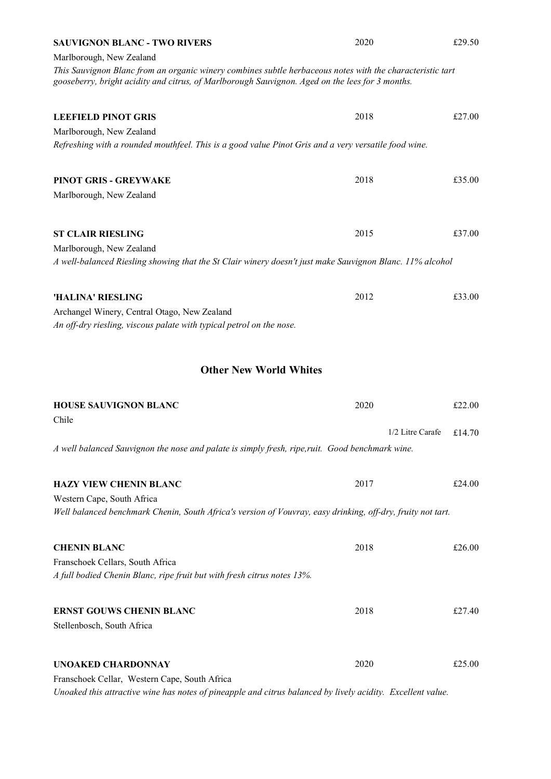| <b>SAUVIGNON BLANC - TWO RIVERS</b>                                                                                                                                                                          | 2020             | £29.50 |  |
|--------------------------------------------------------------------------------------------------------------------------------------------------------------------------------------------------------------|------------------|--------|--|
| Marlborough, New Zealand                                                                                                                                                                                     |                  |        |  |
| This Sauvignon Blanc from an organic winery combines subtle herbaceous notes with the characteristic tart<br>gooseberry, bright acidity and citrus, of Marlborough Sauvignon. Aged on the lees for 3 months. |                  |        |  |
| <b>LEEFIELD PINOT GRIS</b>                                                                                                                                                                                   | 2018             | £27.00 |  |
| Marlborough, New Zealand                                                                                                                                                                                     |                  |        |  |
| Refreshing with a rounded mouthfeel. This is a good value Pinot Gris and a very versatile food wine.                                                                                                         |                  |        |  |
| <b>PINOT GRIS - GREYWAKE</b>                                                                                                                                                                                 | 2018             | £35.00 |  |
| Marlborough, New Zealand                                                                                                                                                                                     |                  |        |  |
| <b>ST CLAIR RIESLING</b>                                                                                                                                                                                     | 2015             | £37.00 |  |
| Marlborough, New Zealand                                                                                                                                                                                     |                  |        |  |
| A well-balanced Riesling showing that the St Clair winery doesn't just make Sauvignon Blanc. 11% alcohol                                                                                                     |                  |        |  |
| 'HALINA' RIESLING                                                                                                                                                                                            | 2012             | £33.00 |  |
| Archangel Winery, Central Otago, New Zealand                                                                                                                                                                 |                  |        |  |
| An off-dry riesling, viscous palate with typical petrol on the nose.                                                                                                                                         |                  |        |  |
| <b>Other New World Whites</b>                                                                                                                                                                                |                  |        |  |
| <b>HOUSE SAUVIGNON BLANC</b>                                                                                                                                                                                 | 2020             | £22.00 |  |
| Chile                                                                                                                                                                                                        |                  |        |  |
|                                                                                                                                                                                                              | 1/2 Litre Carafe | £14.70 |  |
| A well balanced Sauvignon the nose and palate is simply fresh, ripe, ruit. Good benchmark wine.                                                                                                              |                  |        |  |
| <b>HAZY VIEW CHENIN BLANC</b>                                                                                                                                                                                | 2017             | £24.00 |  |
| Western Cape, South Africa                                                                                                                                                                                   |                  |        |  |
| Well balanced benchmark Chenin, South Africa's version of Vouvray, easy drinking, off-dry, fruity not tart.                                                                                                  |                  |        |  |
| <b>CHENIN BLANC</b>                                                                                                                                                                                          | 2018             | £26.00 |  |
| Franschoek Cellars, South Africa                                                                                                                                                                             |                  |        |  |
| A full bodied Chenin Blanc, ripe fruit but with fresh citrus notes 13%.                                                                                                                                      |                  |        |  |
| <b>ERNST GOUWS CHENIN BLANC</b>                                                                                                                                                                              | 2018             | £27.40 |  |
| Stellenbosch, South Africa                                                                                                                                                                                   |                  |        |  |
| <b>UNOAKED CHARDONNAY</b>                                                                                                                                                                                    | 2020             | £25.00 |  |
| Franschoek Cellar, Western Cape, South Africa                                                                                                                                                                |                  |        |  |
| Unoaked this attractive wine has notes of pineapple and citrus balanced by lively acidity. Excellent value.                                                                                                  |                  |        |  |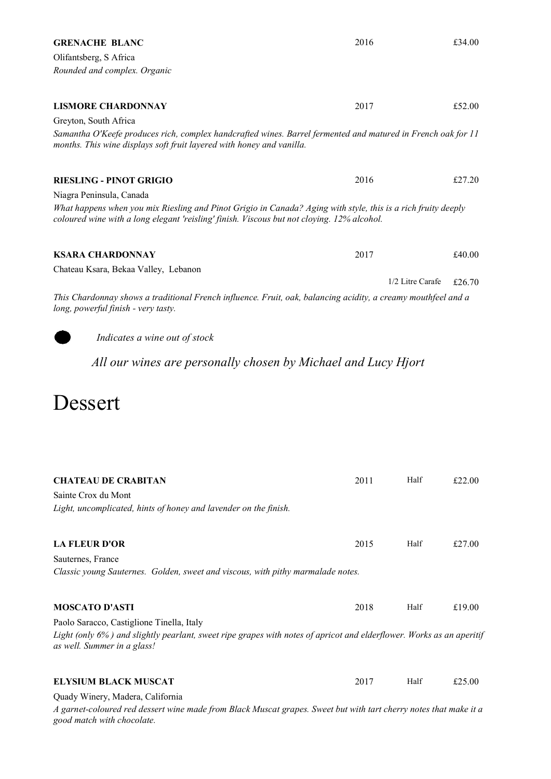| <b>GRENACHE BLANC</b>                                                                                                                                                                                          | 2016 |                  | £34.00 |
|----------------------------------------------------------------------------------------------------------------------------------------------------------------------------------------------------------------|------|------------------|--------|
| Olifantsberg, S Africa                                                                                                                                                                                         |      |                  |        |
| Rounded and complex. Organic                                                                                                                                                                                   |      |                  |        |
|                                                                                                                                                                                                                |      |                  |        |
| <b>LISMORE CHARDONNAY</b>                                                                                                                                                                                      | 2017 |                  | £52.00 |
| Greyton, South Africa<br>Samantha O'Keefe produces rich, complex handcrafted wines. Barrel fermented and matured in French oak for 11<br>months. This wine displays soft fruit layered with honey and vanilla. |      |                  |        |
| <b>RIESLING - PINOT GRIGIO</b>                                                                                                                                                                                 | 2016 |                  | £27.20 |
| Niagra Peninsula, Canada                                                                                                                                                                                       |      |                  |        |
| What happens when you mix Riesling and Pinot Grigio in Canada? Aging with style, this is a rich fruity deeply<br>coloured wine with a long elegant 'reisling' finish. Viscous but not cloying. 12% alcohol.    |      |                  |        |
| <b>KSARA CHARDONNAY</b>                                                                                                                                                                                        | 2017 |                  | £40.00 |
| Chateau Ksara, Bekaa Valley, Lebanon                                                                                                                                                                           |      |                  |        |
| This Chardonnay shows a traditional French influence. Fruit, oak, balancing acidity, a creamy mouthfeel and a<br>long, powerful finish - very tasty.                                                           |      | 1/2 Litre Carafe | £26.70 |
| Indicates a wine out of stock                                                                                                                                                                                  |      |                  |        |
| All our wines are personally chosen by Michael and Lucy Hjort                                                                                                                                                  |      |                  |        |
|                                                                                                                                                                                                                |      |                  |        |
| Dessert                                                                                                                                                                                                        |      |                  |        |
|                                                                                                                                                                                                                | 2011 | Half             | £22.00 |
| <b>CHATEAU DE CRABITAN</b><br>Sainte Crox du Mont                                                                                                                                                              |      |                  |        |
| Light, uncomplicated, hints of honey and lavender on the finish.                                                                                                                                               |      |                  |        |
| <b>LA FLEUR D'OR</b>                                                                                                                                                                                           | 2015 | Half             | £27.00 |
| Sauternes, France                                                                                                                                                                                              |      |                  |        |
| Classic young Sauternes. Golden, sweet and viscous, with pithy marmalade notes.                                                                                                                                |      |                  |        |
| <b>MOSCATO D'ASTI</b>                                                                                                                                                                                          | 2018 | Half             | £19.00 |
| Paolo Saracco, Castiglione Tinella, Italy<br>Light (only 6%) and slightly pearlant, sweet ripe grapes with notes of apricot and elderflower. Works as an aperitif<br>as well. Summer in a glass!               |      |                  |        |
| <b>ELYSIUM BLACK MUSCAT</b>                                                                                                                                                                                    | 2017 | Half             | £25.00 |
| Quady Winery, Madera, California                                                                                                                                                                               |      |                  |        |

A garnet-coloured red dessert wine made from Black Muscat grapes. Sweet but with tart cherry notes that make it a good match with chocolate.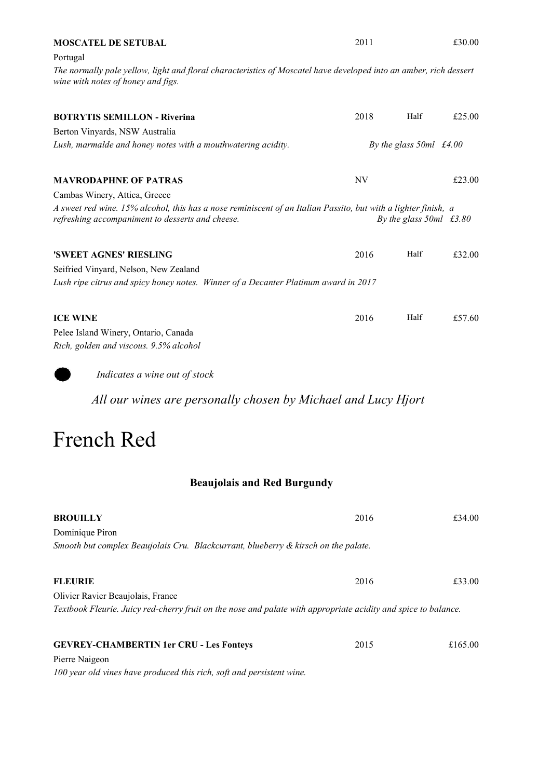| <b>MOSCATEL DE SETUBAL</b>                                                                                                                              | 2011 |                                          | £30.00 |
|---------------------------------------------------------------------------------------------------------------------------------------------------------|------|------------------------------------------|--------|
| Portugal                                                                                                                                                |      |                                          |        |
| The normally pale yellow, light and floral characteristics of Moscatel have developed into an amber, rich dessert<br>wine with notes of honey and figs. |      |                                          |        |
| <b>BOTRYTIS SEMILLON - Riverina</b>                                                                                                                     | 2018 | Half                                     | £25.00 |
| Berton Vinyards, NSW Australia                                                                                                                          |      |                                          |        |
| Lush, marmalde and honey notes with a mouthwatering acidity.                                                                                            |      | By the glass $50ml \text{ } \pounds4.00$ |        |
| <b>MAVRODAPHNE OF PATRAS</b>                                                                                                                            | NV   |                                          | £23.00 |
| Cambas Winery, Attica, Greece                                                                                                                           |      |                                          |        |
| A sweet red wine. 15% alcohol, this has a nose reminiscent of an Italian Passito, but with a lighter finish, a                                          |      |                                          |        |
| refreshing accompaniment to desserts and cheese.                                                                                                        |      | By the glass $50ml$ £3.80                |        |
| 'SWEET AGNES' RIESLING                                                                                                                                  | 2016 | Half                                     | £32.00 |
|                                                                                                                                                         |      |                                          |        |
| Seifried Vinyard, Nelson, New Zealand<br>Lush ripe citrus and spicy honey notes. Winner of a Decanter Platinum award in 2017                            |      |                                          |        |
|                                                                                                                                                         |      |                                          |        |
| <b>ICE WINE</b>                                                                                                                                         | 2016 | Half                                     | £57.60 |
| Pelee Island Winery, Ontario, Canada                                                                                                                    |      |                                          |        |
| Rich, golden and viscous. 9.5% alcohol                                                                                                                  |      |                                          |        |
| Indicates a wine out of stock                                                                                                                           |      |                                          |        |

All our wines are personally chosen by Michael and Lucy Hjort

### French Red

### Beaujolais and Red Burgundy

| <b>BROUILLY</b>                                                                                                | 2016 | £34.00  |
|----------------------------------------------------------------------------------------------------------------|------|---------|
| Dominique Piron                                                                                                |      |         |
| Smooth but complex Beaujolais Cru. Blackcurrant, blueberry & kirsch on the palate.                             |      |         |
| <b>FLEURIE</b>                                                                                                 | 2016 | £33.00  |
| Olivier Ravier Beaujolais, France                                                                              |      |         |
| Textbook Fleurie. Juicy red-cherry fruit on the nose and palate with appropriate acidity and spice to balance. |      |         |
| <b>GEVREY-CHAMBERTIN 1er CRU - Les Fonteys</b>                                                                 | 2015 | £165.00 |
| Pierre Naigeon                                                                                                 |      |         |
| 100 year old vines have produced this rich, soft and persistent wine.                                          |      |         |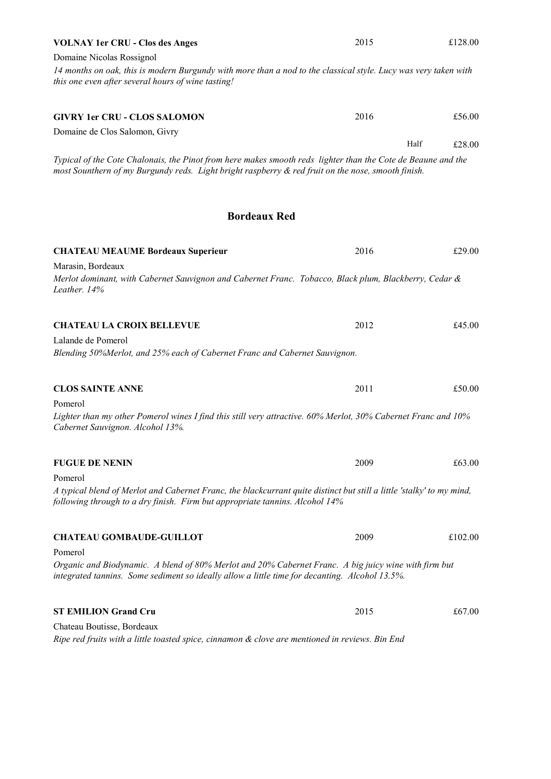| <b>VOLNAY 1er CRU - Clos des Anges</b>                                                                                                                                                                             | 2015 | £128.00        |  |
|--------------------------------------------------------------------------------------------------------------------------------------------------------------------------------------------------------------------|------|----------------|--|
| Domaine Nicolas Rossignol                                                                                                                                                                                          |      |                |  |
| 14 months on oak, this is modern Burgundy with more than a nod to the classical style. Lucy was very taken with<br>this one even after several hours of wine tasting!                                              |      |                |  |
| <b>GIVRY 1er CRU - CLOS SALOMON</b>                                                                                                                                                                                | 2016 | £56.00         |  |
| Domaine de Clos Salomon, Givry                                                                                                                                                                                     |      |                |  |
| Typical of the Cote Chalonais, the Pinot from here makes smooth reds lighter than the Cote de Beaune and the<br>most Sounthern of my Burgundy reds. Light bright raspberry & red fruit on the nose, smooth finish. |      | Half<br>£28.00 |  |
| <b>Bordeaux Red</b>                                                                                                                                                                                                |      |                |  |
| <b>CHATEAU MEAUME Bordeaux Superieur</b>                                                                                                                                                                           | 2016 | £29.00         |  |
| Marasin, Bordeaux                                                                                                                                                                                                  |      |                |  |
| Merlot dominant, with Cabernet Sauvignon and Cabernet Franc. Tobacco, Black plum, Blackberry, Cedar &<br>Leather. 14%                                                                                              |      |                |  |
| <b>CHATEAU LA CROIX BELLEVUE</b>                                                                                                                                                                                   | 2012 | £45.00         |  |
| Lalande de Pomerol<br>Blending 50%Merlot, and 25% each of Cabernet Franc and Cabernet Sauvignon.                                                                                                                   |      |                |  |
| <b>CLOS SAINTE ANNE</b>                                                                                                                                                                                            | 2011 | £50.00         |  |
| Pomerol<br>Lighter than my other Pomerol wines I find this still very attractive. 60% Merlot, 30% Cabernet Franc and 10%<br>Cabernet Sauvignon. Alcohol 13%.                                                       |      |                |  |
| <b>FUGUE DE NENIN</b>                                                                                                                                                                                              | 2009 | £63.00         |  |
| Pomerol                                                                                                                                                                                                            |      |                |  |
| A typical blend of Merlot and Cabernet Franc, the blackcurrant quite distinct but still a little 'stalky' to my mind,<br>following through to a dry finish. Firm but appropriate tannins. Alcohol 14%              |      |                |  |
| <b>CHATEAU GOMBAUDE-GUILLOT</b>                                                                                                                                                                                    | 2009 | £102.00        |  |
| Pomerol                                                                                                                                                                                                            |      |                |  |
| Organic and Biodynamic. A blend of 80% Merlot and 20% Cabernet Franc. A big juicy wine with firm but<br>integrated tannins. Some sediment so ideally allow a little time for decanting. Alcohol 13.5%.             |      |                |  |
| <b>ST EMILION Grand Cru</b>                                                                                                                                                                                        | 2015 | £67.00         |  |
| Chateau Boutisse, Bordeaux                                                                                                                                                                                         |      |                |  |
| Ripe red fruits with a little toasted spice, cinnamon & clove are mentioned in reviews. Bin End                                                                                                                    |      |                |  |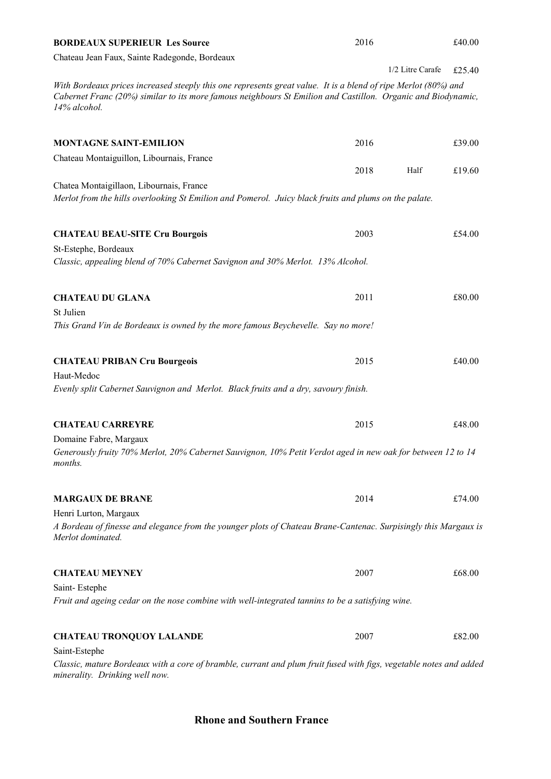| <b>BORDEAUX SUPERIEUR Les Source</b>                                                                                                                                                                                                           | 2016 |                  | £40.00 |
|------------------------------------------------------------------------------------------------------------------------------------------------------------------------------------------------------------------------------------------------|------|------------------|--------|
| Chateau Jean Faux, Sainte Radegonde, Bordeaux                                                                                                                                                                                                  |      |                  |        |
|                                                                                                                                                                                                                                                |      | 1/2 Litre Carafe | £25.40 |
| With Bordeaux prices increased steeply this one represents great value. It is a blend of ripe Merlot (80%) and<br>Cabernet Franc (20%) similar to its more famous neighbours St Emilion and Castillon. Organic and Biodynamic,<br>14% alcohol. |      |                  |        |
| <b>MONTAGNE SAINT-EMILION</b>                                                                                                                                                                                                                  | 2016 |                  | £39.00 |
| Chateau Montaiguillon, Libournais, France                                                                                                                                                                                                      |      |                  |        |
|                                                                                                                                                                                                                                                | 2018 | Half             | £19.60 |
| Chatea Montaigillaon, Libournais, France<br>Merlot from the hills overlooking St Emilion and Pomerol. Juicy black fruits and plums on the palate.                                                                                              |      |                  |        |
| <b>CHATEAU BEAU-SITE Cru Bourgois</b>                                                                                                                                                                                                          | 2003 |                  | £54.00 |
| St-Estephe, Bordeaux                                                                                                                                                                                                                           |      |                  |        |
| Classic, appealing blend of 70% Cabernet Savignon and 30% Merlot. 13% Alcohol.                                                                                                                                                                 |      |                  |        |
| <b>CHATEAU DU GLANA</b>                                                                                                                                                                                                                        | 2011 |                  | £80.00 |
| St Julien                                                                                                                                                                                                                                      |      |                  |        |
| This Grand Vin de Bordeaux is owned by the more famous Beychevelle. Say no more!                                                                                                                                                               |      |                  |        |
| <b>CHATEAU PRIBAN Cru Bourgeois</b>                                                                                                                                                                                                            | 2015 |                  | £40.00 |
| Haut-Medoc                                                                                                                                                                                                                                     |      |                  |        |
| Evenly split Cabernet Sauvignon and Merlot. Black fruits and a dry, savoury finish.                                                                                                                                                            |      |                  |        |
| <b>CHATEAU CARREYRE</b>                                                                                                                                                                                                                        | 2015 |                  | £48.00 |
| Domaine Fabre, Margaux                                                                                                                                                                                                                         |      |                  |        |
| Generously fruity 70% Merlot, 20% Cabernet Sauvignon, 10% Petit Verdot aged in new oak for between 12 to 14<br>months.                                                                                                                         |      |                  |        |
| <b>MARGAUX DE BRANE</b>                                                                                                                                                                                                                        | 2014 |                  | £74.00 |
| Henri Lurton, Margaux                                                                                                                                                                                                                          |      |                  |        |
| A Bordeau of finesse and elegance from the younger plots of Chateau Brane-Cantenac. Surpisingly this Margaux is<br>Merlot dominated.                                                                                                           |      |                  |        |
| <b>CHATEAU MEYNEY</b>                                                                                                                                                                                                                          | 2007 |                  | £68.00 |
| Saint-Estephe                                                                                                                                                                                                                                  |      |                  |        |
| Fruit and ageing cedar on the nose combine with well-integrated tannins to be a satisfying wine.                                                                                                                                               |      |                  |        |
| <b>CHATEAU TRONQUOY LALANDE</b>                                                                                                                                                                                                                | 2007 |                  | £82.00 |
| Saint-Estephe                                                                                                                                                                                                                                  |      |                  |        |
| Classic, mature Bordeaux with a core of bramble, currant and plum fruit fused with figs, vegetable notes and added<br>minerality. Drinking well now.                                                                                           |      |                  |        |

Rhone and Southern France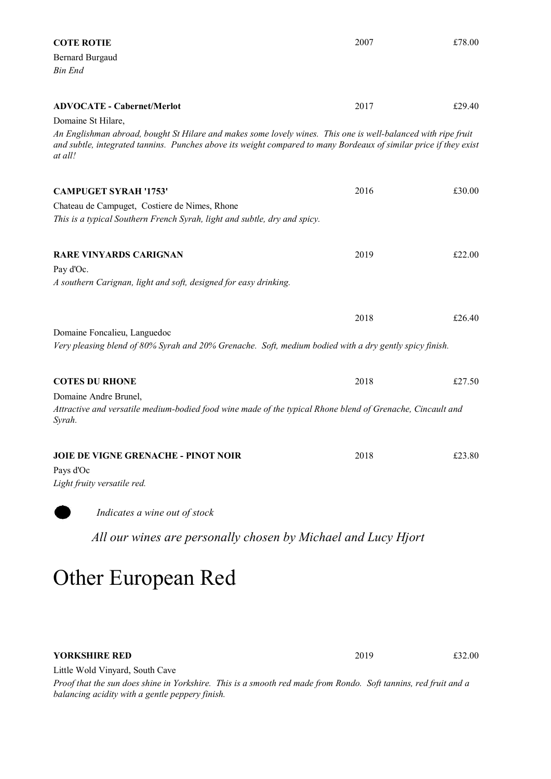| <b>COTE ROTIE</b>                                                                                                                                                                                                                             | 2007 | £78.00 |
|-----------------------------------------------------------------------------------------------------------------------------------------------------------------------------------------------------------------------------------------------|------|--------|
| <b>Bernard Burgaud</b>                                                                                                                                                                                                                        |      |        |
| <b>Bin End</b>                                                                                                                                                                                                                                |      |        |
|                                                                                                                                                                                                                                               |      |        |
| <b>ADVOCATE - Cabernet/Merlot</b>                                                                                                                                                                                                             | 2017 | £29.40 |
| Domaine St Hilare,                                                                                                                                                                                                                            |      |        |
| An Englishman abroad, bought St Hilare and makes some lovely wines. This one is well-balanced with ripe fruit<br>and subtle, integrated tannins. Punches above its weight compared to many Bordeaux of similar price if they exist<br>at all! |      |        |
| <b>CAMPUGET SYRAH '1753'</b>                                                                                                                                                                                                                  | 2016 | £30.00 |
| Chateau de Campuget, Costiere de Nimes, Rhone                                                                                                                                                                                                 |      |        |
| This is a typical Southern French Syrah, light and subtle, dry and spicy.                                                                                                                                                                     |      |        |
|                                                                                                                                                                                                                                               |      |        |
| <b>RARE VINYARDS CARIGNAN</b>                                                                                                                                                                                                                 | 2019 | £22.00 |
| Pay d'Oc.                                                                                                                                                                                                                                     |      |        |
| A southern Carignan, light and soft, designed for easy drinking.                                                                                                                                                                              |      |        |
|                                                                                                                                                                                                                                               |      |        |
|                                                                                                                                                                                                                                               | 2018 | £26.40 |
| Domaine Foncalieu, Languedoc                                                                                                                                                                                                                  |      |        |
| Very pleasing blend of 80% Syrah and 20% Grenache. Soft, medium bodied with a dry gently spicy finish.                                                                                                                                        |      |        |
|                                                                                                                                                                                                                                               |      |        |
| <b>COTES DU RHONE</b>                                                                                                                                                                                                                         | 2018 | £27.50 |
| Domaine Andre Brunel,                                                                                                                                                                                                                         |      |        |
| Attractive and versatile medium-bodied food wine made of the typical Rhone blend of Grenache, Cincault and<br>Syrah.                                                                                                                          |      |        |
| <b>JOIE DE VIGNE GRENACHE - PINOT NOIR</b>                                                                                                                                                                                                    | 2018 | £23.80 |
| Pays d'Oc                                                                                                                                                                                                                                     |      |        |
| Light fruity versatile red.                                                                                                                                                                                                                   |      |        |
| Indicates a wine out of stock                                                                                                                                                                                                                 |      |        |
| All our wines are personally chosen by Michael and Lucy Hjort                                                                                                                                                                                 |      |        |

## Other European Red

#### YORKSHIRE RED

2019 £32.00

Little Wold Vinyard, South Cave

Proof that the sun does shine in Yorkshire. This is a smooth red made from Rondo. Soft tannins, red fruit and a balancing acidity with a gentle peppery finish.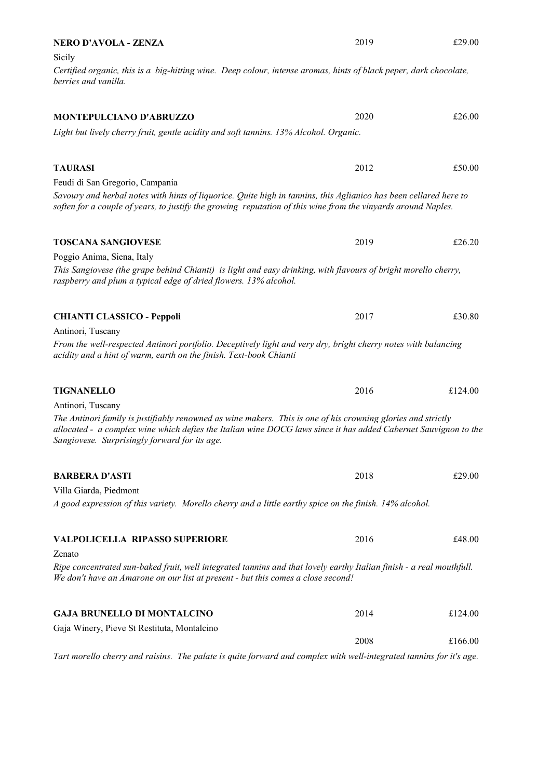| <b>NERO D'AVOLA - ZENZA</b>                                                                                                                                                                                                                                                      | 2019 | £29.00  |
|----------------------------------------------------------------------------------------------------------------------------------------------------------------------------------------------------------------------------------------------------------------------------------|------|---------|
| Sicily                                                                                                                                                                                                                                                                           |      |         |
| Certified organic, this is a big-hitting wine. Deep colour, intense aromas, hints of black peper, dark chocolate,<br>berries and vanilla.                                                                                                                                        |      |         |
| MONTEPULCIANO D'ABRUZZO                                                                                                                                                                                                                                                          | 2020 | £26.00  |
| Light but lively cherry fruit, gentle acidity and soft tannins. 13% Alcohol. Organic.                                                                                                                                                                                            |      |         |
|                                                                                                                                                                                                                                                                                  |      |         |
| <b>TAURASI</b>                                                                                                                                                                                                                                                                   | 2012 | £50.00  |
| Feudi di San Gregorio, Campania                                                                                                                                                                                                                                                  |      |         |
| Savoury and herbal notes with hints of liquorice. Quite high in tannins, this Aglianico has been cellared here to<br>soften for a couple of years, to justify the growing reputation of this wine from the vinyards around Naples.                                               |      |         |
| <b>TOSCANA SANGIOVESE</b>                                                                                                                                                                                                                                                        | 2019 | £26.20  |
| Poggio Anima, Siena, Italy                                                                                                                                                                                                                                                       |      |         |
| This Sangiovese (the grape behind Chianti) is light and easy drinking, with flavours of bright morello cherry,<br>raspberry and plum a typical edge of dried flowers. 13% alcohol.                                                                                               |      |         |
| <b>CHIANTI CLASSICO - Peppoli</b>                                                                                                                                                                                                                                                | 2017 | £30.80  |
| Antinori, Tuscany                                                                                                                                                                                                                                                                |      |         |
| From the well-respected Antinori portfolio. Deceptively light and very dry, bright cherry notes with balancing<br>acidity and a hint of warm, earth on the finish. Text-book Chianti                                                                                             |      |         |
| <b>TIGNANELLO</b>                                                                                                                                                                                                                                                                | 2016 | £124.00 |
| Antinori, Tuscany                                                                                                                                                                                                                                                                |      |         |
| The Antinori family is justifiably renowned as wine makers. This is one of his crowning glories and strictly<br>allocated - a complex wine which defies the Italian wine DOCG laws since it has added Cabernet Sauvignon to the<br>Sangiovese. Surprisingly forward for its age. |      |         |
| <b>BARBERA D'ASTI</b>                                                                                                                                                                                                                                                            | 2018 | £29.00  |
| Villa Giarda, Piedmont                                                                                                                                                                                                                                                           |      |         |
| A good expression of this variety. Morello cherry and a little earthy spice on the finish. 14% alcohol.                                                                                                                                                                          |      |         |
| <b>VALPOLICELLA RIPASSO SUPERIORE</b>                                                                                                                                                                                                                                            | 2016 | £48.00  |
| Zenato                                                                                                                                                                                                                                                                           |      |         |
| Ripe concentrated sun-baked fruit, well integrated tannins and that lovely earthy Italian finish - a real mouthfull.<br>We don't have an Amarone on our list at present - but this comes a close second!                                                                         |      |         |
| <b>GAJA BRUNELLO DI MONTALCINO</b>                                                                                                                                                                                                                                               | 2014 | £124.00 |
| Gaja Winery, Pieve St Restituta, Montalcino                                                                                                                                                                                                                                      |      |         |
|                                                                                                                                                                                                                                                                                  | 2008 | £166.00 |
| Tart morello cherry and raisins. The palate is quite forward and complex with well-integrated tannins for it's age.                                                                                                                                                              |      |         |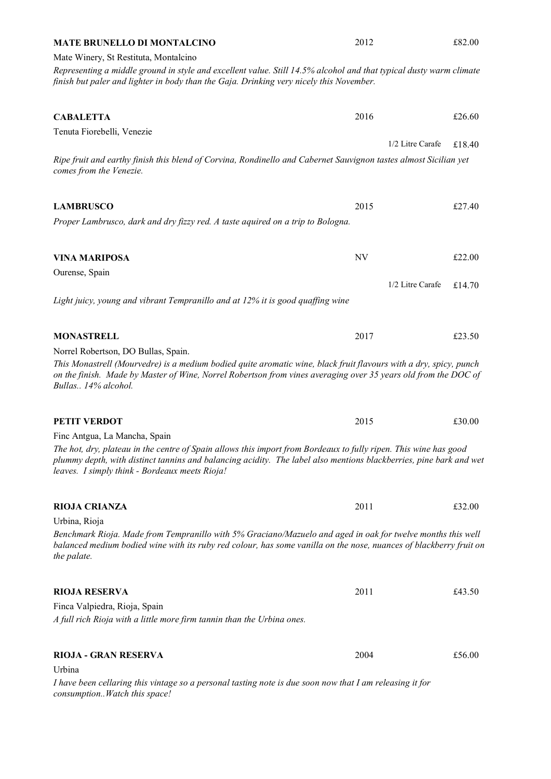| <b>MATE BRUNELLO DI MONTALCINO</b>                                                                                                                                                                                                     | 2012             | £82.00 |  |
|----------------------------------------------------------------------------------------------------------------------------------------------------------------------------------------------------------------------------------------|------------------|--------|--|
| Mate Winery, St Restituta, Montalcino                                                                                                                                                                                                  |                  |        |  |
| Representing a middle ground in style and excellent value. Still 14.5% alcohol and that typical dusty warm climate                                                                                                                     |                  |        |  |
| finish but paler and lighter in body than the Gaja. Drinking very nicely this November.                                                                                                                                                |                  |        |  |
|                                                                                                                                                                                                                                        |                  |        |  |
|                                                                                                                                                                                                                                        |                  |        |  |
| <b>CABALETTA</b>                                                                                                                                                                                                                       | 2016             | £26.60 |  |
| Tenuta Fiorebelli, Venezie                                                                                                                                                                                                             |                  |        |  |
|                                                                                                                                                                                                                                        | 1/2 Litre Carafe | £18.40 |  |
| Ripe fruit and earthy finish this blend of Corvina, Rondinello and Cabernet Sauvignon tastes almost Sicilian yet                                                                                                                       |                  |        |  |
| comes from the Venezie.                                                                                                                                                                                                                |                  |        |  |
|                                                                                                                                                                                                                                        |                  |        |  |
| <b>LAMBRUSCO</b>                                                                                                                                                                                                                       | 2015             | £27.40 |  |
| Proper Lambrusco, dark and dry fizzy red. A taste aquired on a trip to Bologna.                                                                                                                                                        |                  |        |  |
|                                                                                                                                                                                                                                        |                  |        |  |
|                                                                                                                                                                                                                                        |                  |        |  |
| <b>VINA MARIPOSA</b>                                                                                                                                                                                                                   | NV               | £22.00 |  |
| Ourense, Spain                                                                                                                                                                                                                         |                  |        |  |
|                                                                                                                                                                                                                                        | 1/2 Litre Carafe | £14.70 |  |
| Light juicy, young and vibrant Tempranillo and at 12% it is good quaffing wine                                                                                                                                                         |                  |        |  |
|                                                                                                                                                                                                                                        |                  |        |  |
|                                                                                                                                                                                                                                        |                  |        |  |
| <b>MONASTRELL</b>                                                                                                                                                                                                                      | 2017             | £23.50 |  |
| Norrel Robertson, DO Bullas, Spain.                                                                                                                                                                                                    |                  |        |  |
| This Monastrell (Mourvedre) is a medium bodied quite aromatic wine, black fruit flavours with a dry, spicy, punch                                                                                                                      |                  |        |  |
| on the finish. Made by Master of Wine, Norrel Robertson from vines averaging over 35 years old from the DOC of                                                                                                                         |                  |        |  |
| Bullas 14% alcohol.                                                                                                                                                                                                                    |                  |        |  |
|                                                                                                                                                                                                                                        |                  |        |  |
| <b>PETIT VERDOT</b>                                                                                                                                                                                                                    | 2015             | £30.00 |  |
| Finc Antgua, La Mancha, Spain                                                                                                                                                                                                          |                  |        |  |
|                                                                                                                                                                                                                                        |                  |        |  |
| The hot, dry, plateau in the centre of Spain allows this import from Bordeaux to fully ripen. This wine has good<br>plummy depth, with distinct tannins and balancing acidity. The label also mentions blackberries, pine bark and wet |                  |        |  |
| leaves. I simply think - Bordeaux meets Rioja!                                                                                                                                                                                         |                  |        |  |
|                                                                                                                                                                                                                                        |                  |        |  |
|                                                                                                                                                                                                                                        |                  |        |  |
| <b>RIOJA CRIANZA</b>                                                                                                                                                                                                                   | 2011             | £32.00 |  |
| Urbina, Rioja                                                                                                                                                                                                                          |                  |        |  |
| Benchmark Rioja. Made from Tempranillo with 5% Graciano/Mazuelo and aged in oak for twelve months this well<br>balanced medium bodied wine with its ruby red colour, has some vanilla on the nose, nuances of blackberry fruit on      |                  |        |  |
| the palate.                                                                                                                                                                                                                            |                  |        |  |
|                                                                                                                                                                                                                                        |                  |        |  |
|                                                                                                                                                                                                                                        |                  |        |  |
| <b>RIOJA RESERVA</b>                                                                                                                                                                                                                   | 2011             | £43.50 |  |
| Finca Valpiedra, Rioja, Spain                                                                                                                                                                                                          |                  |        |  |
| A full rich Rioja with a little more firm tannin than the Urbina ones.                                                                                                                                                                 |                  |        |  |
|                                                                                                                                                                                                                                        |                  |        |  |
|                                                                                                                                                                                                                                        |                  |        |  |
| <b>RIOJA - GRAN RESERVA</b>                                                                                                                                                                                                            | 2004             | £56.00 |  |
| Urbina                                                                                                                                                                                                                                 |                  |        |  |

I have been cellaring this vintage so a personal tasting note is due soon now that I am releasing it for consumption..Watch this space!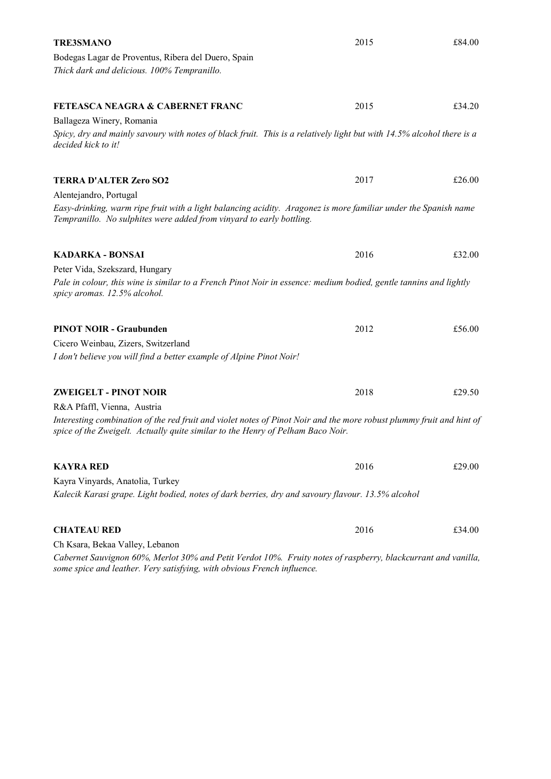| <b>TRE3SMANO</b>                                                                                                                                                                                        | 2015 | £84.00 |
|---------------------------------------------------------------------------------------------------------------------------------------------------------------------------------------------------------|------|--------|
| Bodegas Lagar de Proventus, Ribera del Duero, Spain                                                                                                                                                     |      |        |
| Thick dark and delicious. 100% Tempranillo.                                                                                                                                                             |      |        |
| <b>FETEASCA NEAGRA &amp; CABERNET FRANC</b>                                                                                                                                                             | 2015 | £34.20 |
| Ballageza Winery, Romania                                                                                                                                                                               |      |        |
| Spicy, dry and mainly savoury with notes of black fruit. This is a relatively light but with 14.5% alcohol there is a<br>decided kick to it!                                                            |      |        |
| <b>TERRA D'ALTER Zero SO2</b>                                                                                                                                                                           | 2017 | £26.00 |
| Alentejandro, Portugal                                                                                                                                                                                  |      |        |
| Easy-drinking, warm ripe fruit with a light balancing acidity. Aragonez is more familiar under the Spanish name<br>Tempranillo. No sulphites were added from vinyard to early bottling.                 |      |        |
| <b>KADARKA - BONSAI</b>                                                                                                                                                                                 | 2016 | £32.00 |
| Peter Vida, Szekszard, Hungary                                                                                                                                                                          |      |        |
| Pale in colour, this wine is similar to a French Pinot Noir in essence: medium bodied, gentle tannins and lightly<br>spicy aromas. 12.5% alcohol.                                                       |      |        |
| <b>PINOT NOIR - Graubunden</b>                                                                                                                                                                          | 2012 | £56.00 |
| Cicero Weinbau, Zizers, Switzerland                                                                                                                                                                     |      |        |
| I don't believe you will find a better example of Alpine Pinot Noir!                                                                                                                                    |      |        |
| <b>ZWEIGELT - PINOT NOIR</b>                                                                                                                                                                            | 2018 | £29.50 |
| R&A Pfaffl, Vienna, Austria                                                                                                                                                                             |      |        |
| Interesting combination of the red fruit and violet notes of Pinot Noir and the more robust plummy fruit and hint of<br>spice of the Zweigelt. Actually quite similar to the Henry of Pelham Baco Noir. |      |        |
| <b>KAYRA RED</b>                                                                                                                                                                                        | 2016 | £29.00 |
| Kayra Vinyards, Anatolia, Turkey                                                                                                                                                                        |      |        |
| Kalecik Karasi grape. Light bodied, notes of dark berries, dry and savoury flavour. 13.5% alcohol                                                                                                       |      |        |
| <b>CHATEAU RED</b>                                                                                                                                                                                      | 2016 | £34.00 |
| Ch Ksara, Bekaa Valley, Lebanon                                                                                                                                                                         |      |        |
| Cabernet Sauvignon 60%, Merlot 30% and Petit Verdot 10%. Fruity notes of raspberry, blackcurrant and vanilla,                                                                                           |      |        |

some spice and leather. Very satisfying, with obvious French influence.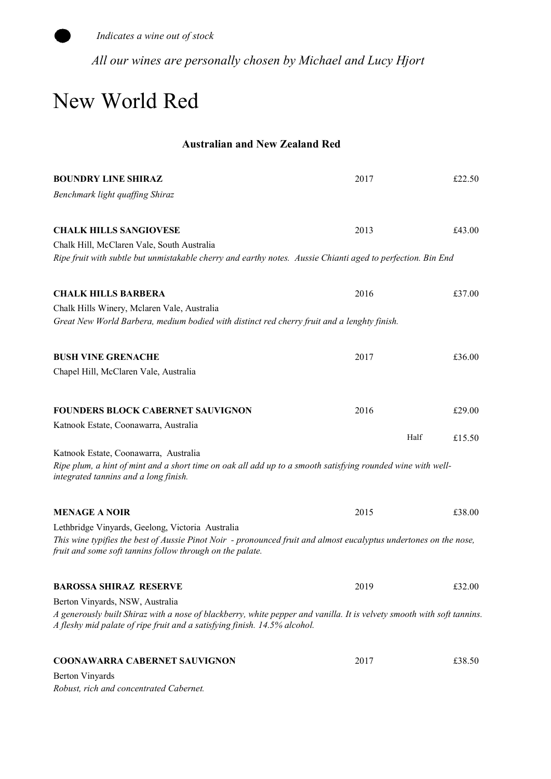

All our wines are personally chosen by Michael and Lucy Hjort

### New World Red

#### Australian and New Zealand Red

| <b>BOUNDRY LINE SHIRAZ</b>                                                                                                                                                                          | 2017 | £22.50 |
|-----------------------------------------------------------------------------------------------------------------------------------------------------------------------------------------------------|------|--------|
| Benchmark light quaffing Shiraz                                                                                                                                                                     |      |        |
| <b>CHALK HILLS SANGIOVESE</b>                                                                                                                                                                       | 2013 | £43.00 |
| Chalk Hill, McClaren Vale, South Australia                                                                                                                                                          |      |        |
| Ripe fruit with subtle but unmistakable cherry and earthy notes. Aussie Chianti aged to perfection. Bin End                                                                                         |      |        |
| <b>CHALK HILLS BARBERA</b>                                                                                                                                                                          | 2016 | £37.00 |
| Chalk Hills Winery, Mclaren Vale, Australia                                                                                                                                                         |      |        |
| Great New World Barbera, medium bodied with distinct red cherry fruit and a lenghty finish.                                                                                                         |      |        |
| <b>BUSH VINE GRENACHE</b>                                                                                                                                                                           | 2017 | £36.00 |
| Chapel Hill, McClaren Vale, Australia                                                                                                                                                               |      |        |
| <b>FOUNDERS BLOCK CABERNET SAUVIGNON</b>                                                                                                                                                            | 2016 | £29.00 |
| Katnook Estate, Coonawarra, Australia                                                                                                                                                               |      |        |
|                                                                                                                                                                                                     | Half | £15.50 |
| Katnook Estate, Coonawarra, Australia                                                                                                                                                               |      |        |
| Ripe plum, a hint of mint and a short time on oak all add up to a smooth satisfying rounded wine with well-<br>integrated tannins and a long finish.                                                |      |        |
| <b>MENAGE A NOIR</b>                                                                                                                                                                                | 2015 | £38.00 |
| Lethbridge Vinyards, Geelong, Victoria Australia                                                                                                                                                    |      |        |
| This wine typifies the best of Aussie Pinot Noir - pronounced fruit and almost eucalyptus undertones on the nose,<br>fruit and some soft tannins follow through on the palate.                      |      |        |
| <b>BAROSSA SHIRAZ RESERVE</b>                                                                                                                                                                       | 2019 | £32.00 |
| Berton Vinyards, NSW, Australia                                                                                                                                                                     |      |        |
| A generously built Shiraz with a nose of blackberry, white pepper and vanilla. It is velvety smooth with soft tannins.<br>A fleshy mid palate of ripe fruit and a satisfying finish. 14.5% alcohol. |      |        |
| <b>COONAWARRA CABERNET SAUVIGNON</b>                                                                                                                                                                | 2017 | £38.50 |
| <b>Berton Vinyards</b>                                                                                                                                                                              |      |        |

Robust, rich and concentrated Cabernet.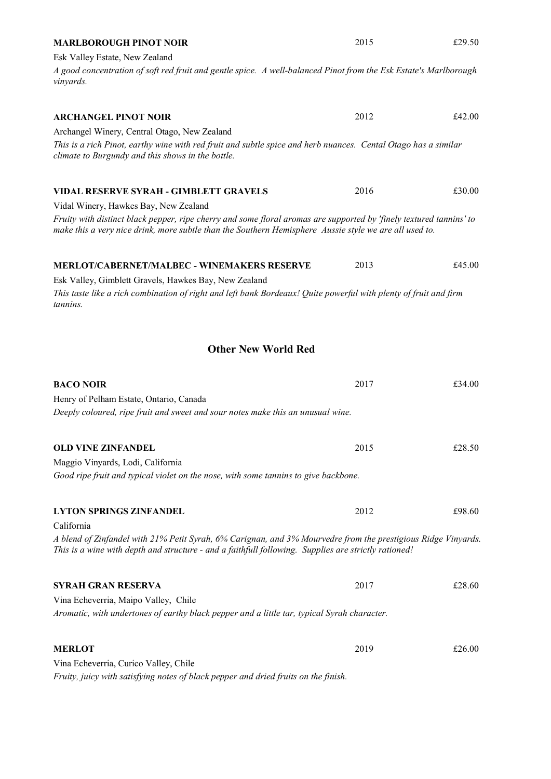| Esk Valley Estate, New Zealand<br>A good concentration of soft red fruit and gentle spice. A well-balanced Pinot from the Esk Estate's Marlborough<br><i>vinyards.</i>                                                        |      |        |
|-------------------------------------------------------------------------------------------------------------------------------------------------------------------------------------------------------------------------------|------|--------|
| <b>ARCHANGEL PINOT NOIR</b>                                                                                                                                                                                                   | 2012 | £42.00 |
| Archangel Winery, Central Otago, New Zealand                                                                                                                                                                                  |      |        |
| This is a rich Pinot, earthy wine with red fruit and subtle spice and herb nuances. Cental Otago has a similar<br>climate to Burgundy and this shows in the bottle.                                                           |      |        |
| VIDAL RESERVE SYRAH - GIMBLETT GRAVELS                                                                                                                                                                                        | 2016 | £30.00 |
| Vidal Winery, Hawkes Bay, New Zealand                                                                                                                                                                                         |      |        |
| Fruity with distinct black pepper, ripe cherry and some floral aromas are supported by 'finely textured tannins' to<br>make this a very nice drink, more subtle than the Southern Hemisphere Aussie style we are all used to. |      |        |
| <b>MERLOT/CABERNET/MALBEC - WINEMAKERS RESERVE</b>                                                                                                                                                                            | 2013 | £45.00 |

MARLBOROUGH PINOT NOIR

2015 £29.50

Esk Valley, Gimblett Gravels, Hawkes Bay, New Zealand This taste like a rich combination of right and left bank Bordeaux! Quite powerful with plenty of fruit and firm tannins.

#### Other New World Red

| <b>BACO NOIR</b>                                                                                              | 2017 | £34.00 |  |
|---------------------------------------------------------------------------------------------------------------|------|--------|--|
| Henry of Pelham Estate, Ontario, Canada                                                                       |      |        |  |
| Deeply coloured, ripe fruit and sweet and sour notes make this an unusual wine.                               |      |        |  |
|                                                                                                               |      |        |  |
| <b>OLD VINE ZINFANDEL</b>                                                                                     | 2015 | £28.50 |  |
| Maggio Vinyards, Lodi, California                                                                             |      |        |  |
| Good ripe fruit and typical violet on the nose, with some tannins to give backbone.                           |      |        |  |
|                                                                                                               |      |        |  |
| <b>LYTON SPRINGS ZINFANDEL</b>                                                                                | 2012 | £98.60 |  |
| California                                                                                                    |      |        |  |
| A blend of Zinfandel with 21% Petit Syrah, 6% Carignan, and 3% Mourvedre from the prestigious Ridge Vinyards. |      |        |  |
| This is a wine with depth and structure - and a faithfull following. Supplies are strictly rationed!          |      |        |  |
|                                                                                                               |      |        |  |
| <b>SYRAH GRAN RESERVA</b>                                                                                     | 2017 | £28.60 |  |
| Vina Echeverria, Maipo Valley, Chile                                                                          |      |        |  |
| Aromatic, with undertones of earthy black pepper and a little tar, typical Syrah character.                   |      |        |  |
|                                                                                                               |      |        |  |
| <b>MERLOT</b>                                                                                                 | 2019 | £26.00 |  |
| Vina Echeverria, Curico Valley, Chile                                                                         |      |        |  |
| Fruity, juicy with satisfying notes of black pepper and dried fruits on the finish.                           |      |        |  |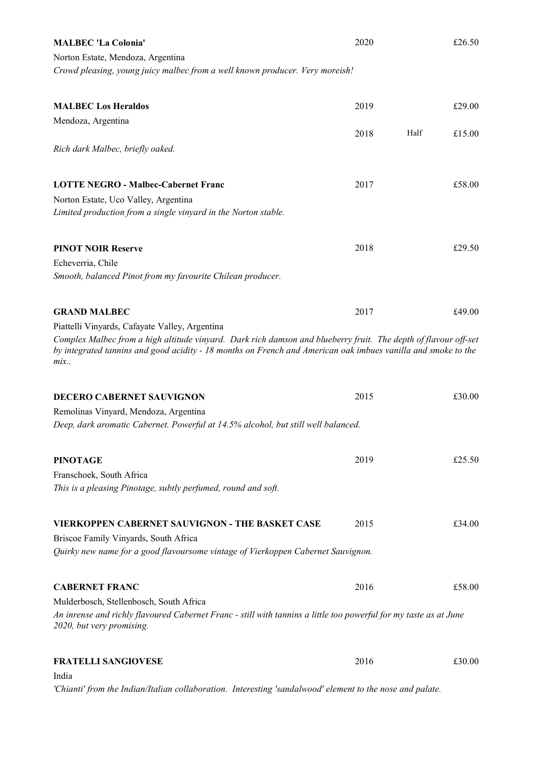| <b>MALBEC 'La Colonia'</b>                                                                                                                                                                                                              | 2020 |      | £26.50 |
|-----------------------------------------------------------------------------------------------------------------------------------------------------------------------------------------------------------------------------------------|------|------|--------|
| Norton Estate, Mendoza, Argentina                                                                                                                                                                                                       |      |      |        |
| Crowd pleasing, young juicy malbec from a well known producer. Very moreish!                                                                                                                                                            |      |      |        |
| <b>MALBEC Los Heraldos</b>                                                                                                                                                                                                              | 2019 |      | £29.00 |
| Mendoza, Argentina                                                                                                                                                                                                                      |      |      |        |
|                                                                                                                                                                                                                                         | 2018 | Half | £15.00 |
| Rich dark Malbec, briefly oaked.                                                                                                                                                                                                        |      |      |        |
| <b>LOTTE NEGRO - Malbec-Cabernet Franc</b>                                                                                                                                                                                              | 2017 |      | £58.00 |
| Norton Estate, Uco Valley, Argentina                                                                                                                                                                                                    |      |      |        |
| Limited production from a single vinyard in the Norton stable.                                                                                                                                                                          |      |      |        |
| <b>PINOT NOIR Reserve</b>                                                                                                                                                                                                               | 2018 |      | £29.50 |
| Echeverria, Chile                                                                                                                                                                                                                       |      |      |        |
| Smooth, balanced Pinot from my favourite Chilean producer.                                                                                                                                                                              |      |      |        |
| <b>GRAND MALBEC</b>                                                                                                                                                                                                                     | 2017 |      | £49.00 |
| Piattelli Vinyards, Cafayate Valley, Argentina                                                                                                                                                                                          |      |      |        |
| Complex Malbec from a high altitude vinyard. Dark rich damson and blueberry fruit. The depth of flavour off-set<br>by integrated tannins and good acidity - 18 months on French and American oak imbues vanilla and smoke to the<br>mix |      |      |        |
| <b>DECERO CABERNET SAUVIGNON</b>                                                                                                                                                                                                        | 2015 |      | £30.00 |
| Remolinas Vinyard, Mendoza, Argentina                                                                                                                                                                                                   |      |      |        |
| Deep, dark aromatic Cabernet. Powerful at 14.5% alcohol, but still well balanced.                                                                                                                                                       |      |      |        |
| <b>PINOTAGE</b>                                                                                                                                                                                                                         | 2019 |      | £25.50 |
| Franschoek, South Africa                                                                                                                                                                                                                |      |      |        |
| This is a pleasing Pinotage, subtly perfumed, round and soft.                                                                                                                                                                           |      |      |        |
| VIERKOPPEN CABERNET SAUVIGNON - THE BASKET CASE                                                                                                                                                                                         | 2015 |      | £34.00 |
| Briscoe Family Vinyards, South Africa                                                                                                                                                                                                   |      |      |        |
| Quirky new name for a good flavoursome vintage of Vierkoppen Cabernet Sauvignon.                                                                                                                                                        |      |      |        |
| <b>CABERNET FRANC</b>                                                                                                                                                                                                                   | 2016 |      | £58.00 |
| Mulderbosch, Stellenbosch, South Africa                                                                                                                                                                                                 |      |      |        |
| An inrense and richly flavoured Cabernet Franc - still with tannins a little too powerful for my taste as at June<br>2020, but very promising.                                                                                          |      |      |        |
| <b>FRATELLI SANGIOVESE</b>                                                                                                                                                                                                              | 2016 |      | £30.00 |
| India                                                                                                                                                                                                                                   |      |      |        |

'Chianti' from the Indian/Italian collaboration. Interesting 'sandalwood' element to the nose and palate.